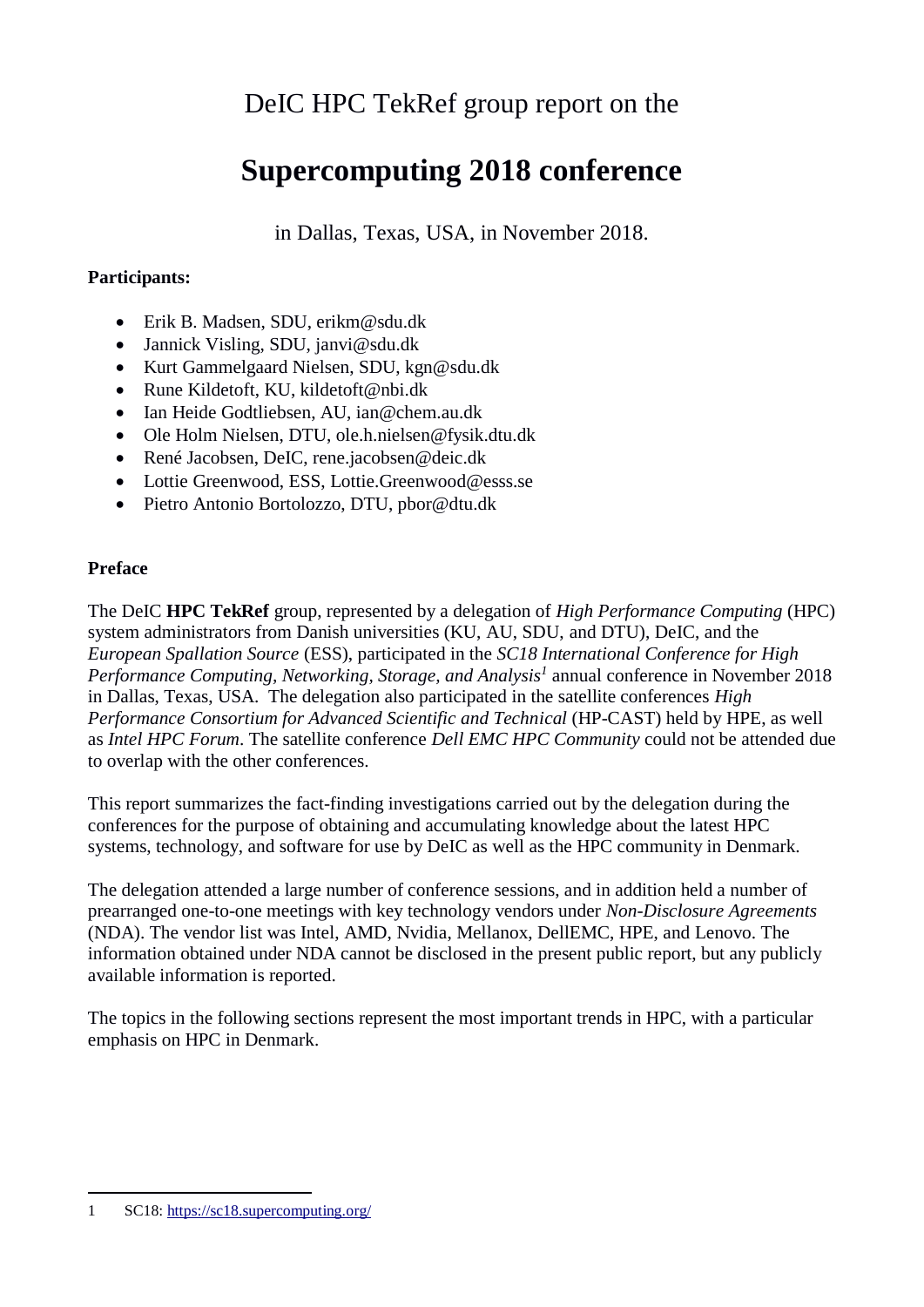# DeIC HPC TekRef group report on the

# **Supercomputing 2018 conference**

in Dallas, Texas, USA, in November 2018.

### **Participants:**

- Erik B. Madsen, SDU, erikm@sdu.dk
- Jannick Visling, SDU, janvi@sdu.dk
- Kurt Gammelgaard Nielsen, SDU, kgn@sdu.dk
- Rune Kildetoft, KU, kildetoft@nbi.dk
- Ian Heide Godtliebsen, AU, ian@chem.au.dk
- Ole Holm Nielsen, DTU, ole.h.nielsen@fysik.dtu.dk
- René Jacobsen, DeIC, rene.jacobsen@deic.dk
- Lottie Greenwood, ESS, Lottie.Greenwood@esss.se
- Pietro Antonio Bortolozzo, DTU, pbor@dtu.dk

### **Preface**

The DeIC **HPC TekRef** group, represented by a delegation of *High Performance Computing* (HPC) system administrators from Danish universities (KU, AU, SDU, and DTU), DeIC, and the *European Spallation Source* (ESS), participated in the *SC18 International Conference for High Performance Computing, Networking, Storage, and Analysis<sup>1</sup>* annual conference in November 2018 in Dallas, Texas, USA. The delegation also participated in the satellite conferences *High Performance Consortium for Advanced Scientific and Technical* (HP-CAST) held by HPE, as well as *Intel HPC Forum*. The satellite conference *Dell EMC HPC Community* could not be attended due to overlap with the other conferences.

This report summarizes the fact-finding investigations carried out by the delegation during the conferences for the purpose of obtaining and accumulating knowledge about the latest HPC systems, technology, and software for use by DeIC as well as the HPC community in Denmark.

The delegation attended a large number of conference sessions, and in addition held a number of prearranged one-to-one meetings with key technology vendors under *Non-Disclosure Agreements* (NDA). The vendor list was Intel, AMD, Nvidia, Mellanox, DellEMC, HPE, and Lenovo. The information obtained under NDA cannot be disclosed in the present public report, but any publicly available information is reported.

The topics in the following sections represent the most important trends in HPC, with a particular emphasis on HPC in Denmark.

1

<sup>1</sup> SC18[: https://sc18.supercomputing.org/](https://sc18.supercomputing.org/)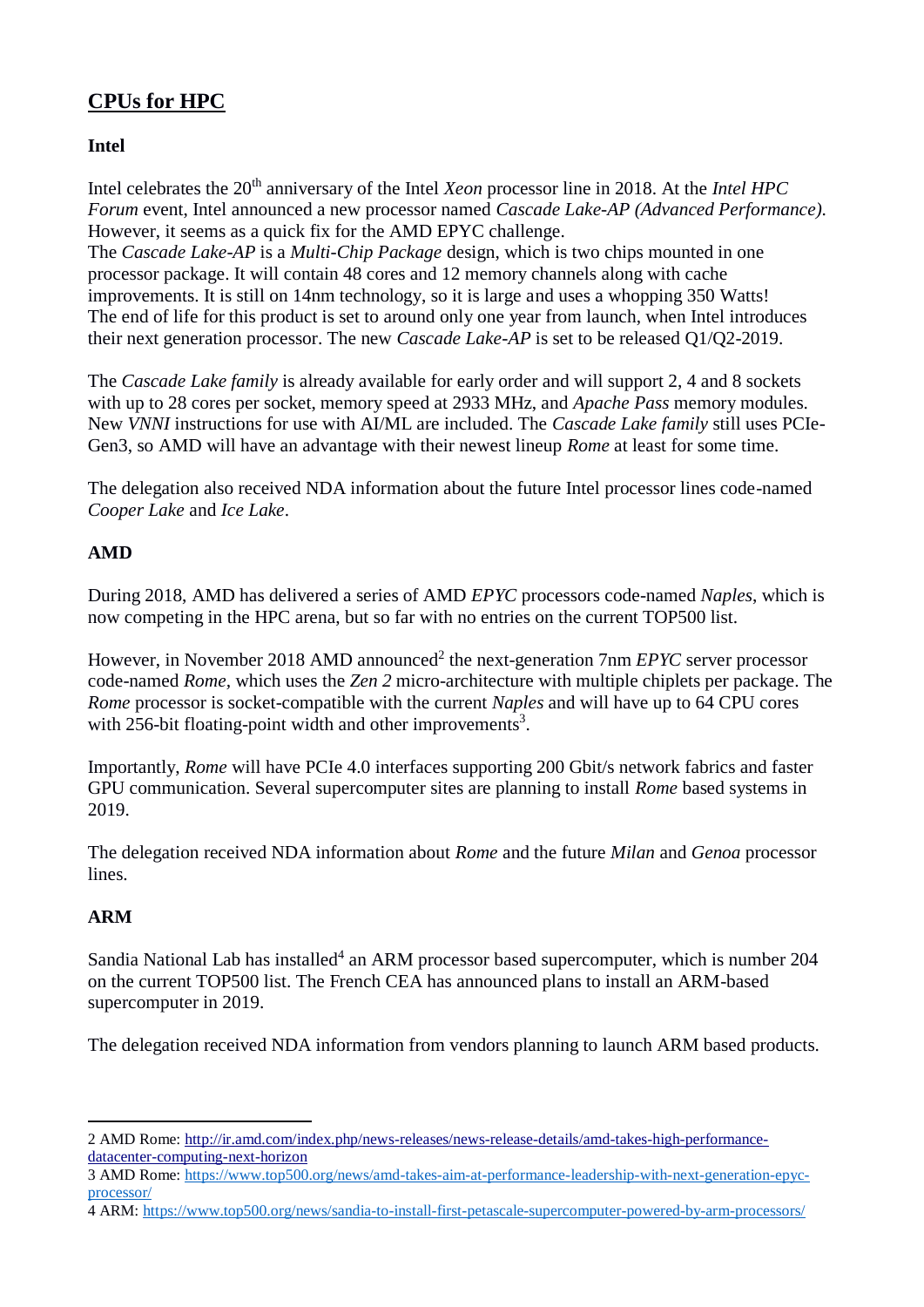# **CPUs for HPC**

### **Intel**

Intel celebrates the 20<sup>th</sup> anniversary of the Intel *Xeon* processor line in 2018. At the *Intel HPC Forum* event, Intel announced a new processor named *Cascade Lake-AP (Advanced Performance).*  However, it seems as a quick fix for the AMD EPYC challenge.

The *Cascade Lake-AP* is a *Multi-Chip Package* design, which is two chips mounted in one processor package. It will contain 48 cores and 12 memory channels along with cache improvements. It is still on 14nm technology, so it is large and uses a whopping 350 Watts! The end of life for this product is set to around only one year from launch, when Intel introduces their next generation processor. The new *Cascade Lake-AP* is set to be released Q1/Q2-2019.

The *Cascade Lake family* is already available for early order and will support 2, 4 and 8 sockets with up to 28 cores per socket, memory speed at 2933 MHz, and *Apache Pass* memory modules. New *VNNI* instructions for use with AI/ML are included. The *Cascade Lake family* still uses PCIe-Gen3, so AMD will have an advantage with their newest lineup *Rome* at least for some time.

The delegation also received NDA information about the future Intel processor lines code-named *Cooper Lake* and *Ice Lake*.

### **AMD**

During 2018, AMD has delivered a series of AMD *EPYC* processors code-named *Naples*, which is now competing in the HPC arena, but so far with no entries on the current TOP500 list.

However, in November 2018 AMD announced<sup>2</sup> the next-generation 7nm *EPYC* server processor code-named *Rome,* which uses the *Zen 2* micro-architecture with multiple chiplets per package. The *Rome* processor is socket-compatible with the current *Naples* and will have up to 64 CPU cores with 256-bit floating-point width and other improvements<sup>3</sup>.

Importantly, *Rome* will have PCIe 4.0 interfaces supporting 200 Gbit/s network fabrics and faster GPU communication. Several supercomputer sites are planning to install *Rome* based systems in 2019.

The delegation received NDA information about *Rome* and the future *Milan* and *Genoa* processor lines.

# **ARM**

Sandia National Lab has installed<sup>4</sup> an ARM processor based supercomputer, which is number 204 on the current TOP500 list. The French CEA has announced plans to install an ARM-based supercomputer in 2019.

The delegation received NDA information from vendors planning to launch ARM based products.

<sup>&</sup>lt;u>.</u> 2 AMD Rome: [http://ir.amd.com/index.php/news-releases/news-release-details/amd-takes-high-performance](http://ir.amd.com/index.php/news-releases/news-release-details/amd-takes-high-performance-datacenter-computing-next-horizon)[datacenter-computing-next-horizon](http://ir.amd.com/index.php/news-releases/news-release-details/amd-takes-high-performance-datacenter-computing-next-horizon)

<sup>3</sup> AMD Rome: [https://www.top500.org/news/amd-takes-aim-at-performance-leadership-with-next-generation-epyc](https://www.top500.org/news/amd-takes-aim-at-performance-leadership-with-next-generation-epyc-processor/)[processor/](https://www.top500.org/news/amd-takes-aim-at-performance-leadership-with-next-generation-epyc-processor/)

<sup>4</sup> ARM:<https://www.top500.org/news/sandia-to-install-first-petascale-supercomputer-powered-by-arm-processors/>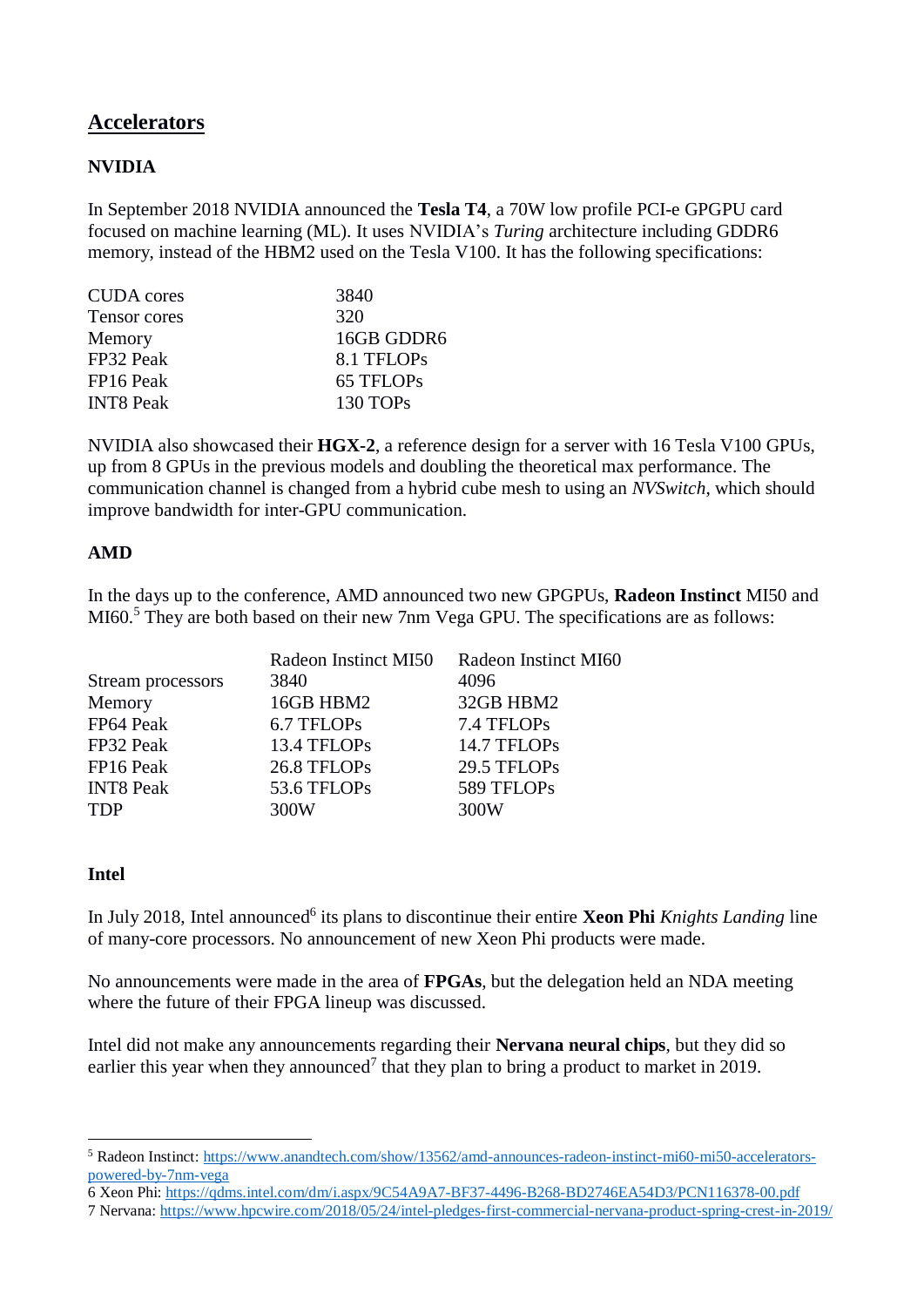# **Accelerators**

### **NVIDIA**

In September 2018 NVIDIA announced the **Tesla T4**, a 70W low profile PCI-e GPGPU card focused on machine learning (ML). It uses NVIDIA's *Turing* architecture including GDDR6 memory, instead of the HBM2 used on the Tesla V100. It has the following specifications:

| <b>CUDA</b> cores | 3840       |
|-------------------|------------|
| Tensor cores      | 320        |
| Memory            | 16GB GDDR6 |
| FP32 Peak         | 8.1 TFLOPs |
| FP16 Peak         | 65 TFLOPs  |
| <b>INT8 Peak</b>  | 130 TOPs   |

NVIDIA also showcased their **HGX-2**, a reference design for a server with 16 Tesla V100 GPUs, up from 8 GPUs in the previous models and doubling the theoretical max performance. The communication channel is changed from a hybrid cube mesh to using an *NVSwitch*, which should improve bandwidth for inter-GPU communication.

#### **AMD**

In the days up to the conference, AMD announced two new GPGPUs, **Radeon Instinct** MI50 and MI60.<sup>5</sup> They are both based on their new 7nm Vega GPU. The specifications are as follows:

|                   | Radeon Instinct MI50 | Radeon Instinct MI60 |
|-------------------|----------------------|----------------------|
| Stream processors | 3840                 | 4096                 |
| Memory            | 16GB HBM2            | 32GB HBM2            |
| FP64 Peak         | 6.7 TFLOPs           | 7.4 TFLOPs           |
| FP32 Peak         | 13.4 TFLOPs          | 14.7 TFLOPs          |
| FP16 Peak         | 26.8 TFLOPs          | 29.5 TFLOPs          |
| <b>INT8 Peak</b>  | 53.6 TFLOPs          | 589 TFLOPs           |
| <b>TDP</b>        | 300W                 | 300W                 |

#### **Intel**

In July 2018, Intel announced<sup>6</sup> its plans to discontinue their entire **Xeon Phi** *Knights Landing* line of many-core processors. No announcement of new Xeon Phi products were made.

No announcements were made in the area of **FPGAs**, but the delegation held an NDA meeting where the future of their FPGA lineup was discussed.

Intel did not make any announcements regarding their **Nervana neural chips**, but they did so earlier this year when they announced<sup>7</sup> that they plan to bring a product to market in 2019.

<sup>1</sup> <sup>5</sup> Radeon Instinct: [https://www.anandtech.com/show/13562/amd-announces-radeon-instinct-mi60-mi50-accelerators](https://www.anandtech.com/show/13562/amd-announces-radeon-instinct-mi60-mi50-accelerators-powered-by-7nm-vega)[powered-by-7nm-vega](https://www.anandtech.com/show/13562/amd-announces-radeon-instinct-mi60-mi50-accelerators-powered-by-7nm-vega)

<sup>6</sup> Xeon Phi:<https://qdms.intel.com/dm/i.aspx/9C54A9A7-BF37-4496-B268-BD2746EA54D3/PCN116378-00.pdf>

<sup>7</sup> Nervana:<https://www.hpcwire.com/2018/05/24/intel-pledges-first-commercial-nervana-product-spring-crest-in-2019/>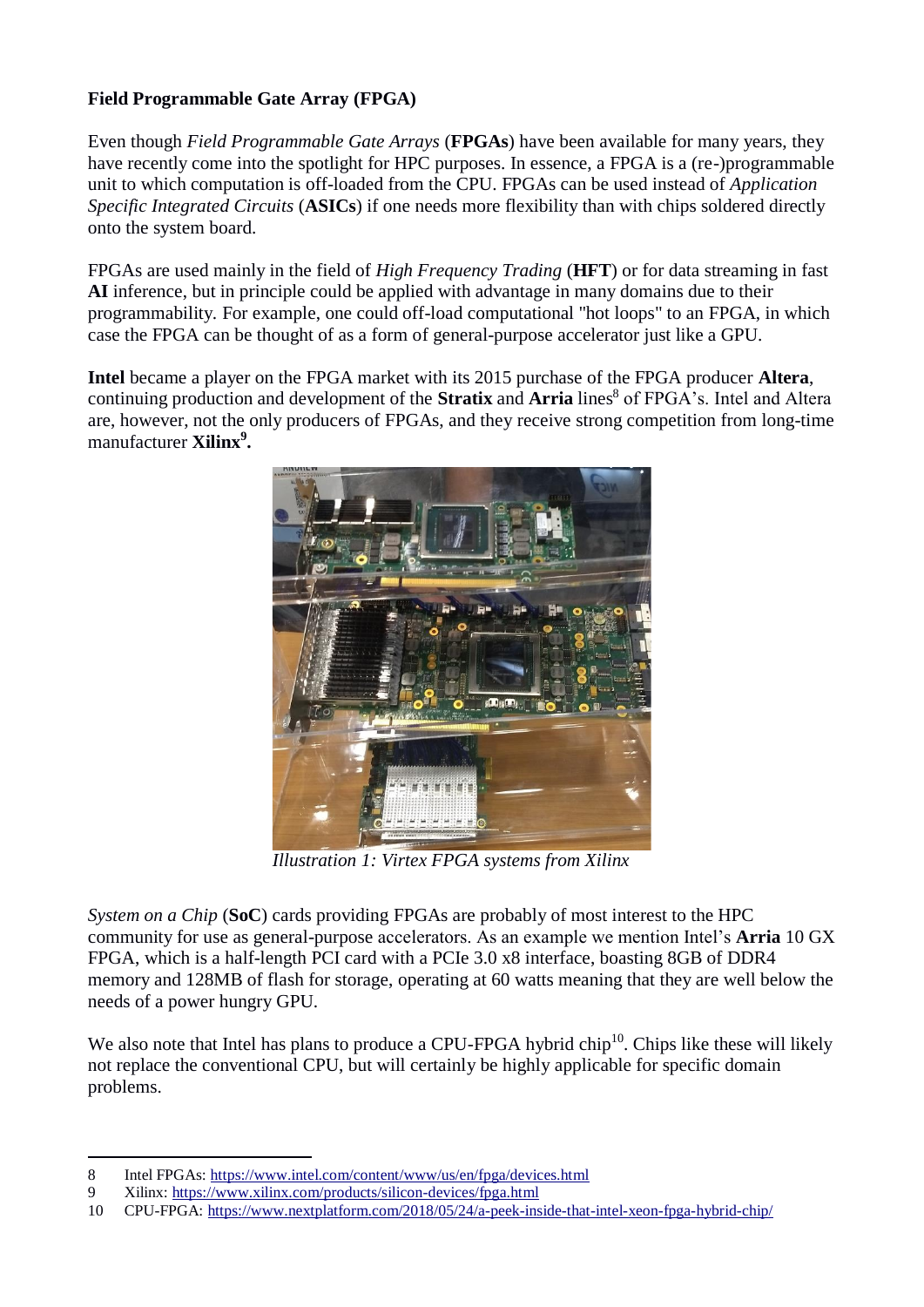### **Field Programmable Gate Array (FPGA)**

Even though *Field Programmable Gate Arrays* (**FPGAs**) have been available for many years, they have recently come into the spotlight for HPC purposes. In essence, a FPGA is a (re-)programmable unit to which computation is off-loaded from the CPU. FPGAs can be used instead of *Application Specific Integrated Circuits* (**ASICs**) if one needs more flexibility than with chips soldered directly onto the system board.

FPGAs are used mainly in the field of *High Frequency Trading* (**HFT**) or for data streaming in fast **AI** inference, but in principle could be applied with advantage in many domains due to their programmability. For example, one could off-load computational "hot loops" to an FPGA, in which case the FPGA can be thought of as a form of general-purpose accelerator just like a GPU.

**Intel** became a player on the FPGA market with its 2015 purchase of the FPGA producer **Altera**, continuing production and development of the **Stratix** and **Arria** lines<sup>8</sup> of FPGA's. Intel and Altera are, however, not the only producers of FPGAs, and they receive strong competition from long-time manufacturer **Xilinx<sup>9</sup> .**



*Illustration 1: Virtex FPGA systems from Xilinx*

*System on a Chip* (**SoC**) cards providing FPGAs are probably of most interest to the HPC community for use as general-purpose accelerators. As an example we mention Intel's **Arria** 10 GX FPGA, which is a half-length PCI card with a PCIe 3.0 x8 interface, boasting 8GB of DDR4 memory and 128MB of flash for storage, operating at 60 watts meaning that they are well below the needs of a power hungry GPU.

We also note that Intel has plans to produce a CPU-FPGA hybrid chip<sup>10</sup>. Chips like these will likely not replace the conventional CPU, but will certainly be highly applicable for specific domain problems.

1

<sup>8</sup> Intel FPGAs:<https://www.intel.com/content/www/us/en/fpga/devices.html>

<sup>9</sup> Xilinx:<https://www.xilinx.com/products/silicon-devices/fpga.html>

<sup>10</sup> CPU-FPGA:<https://www.nextplatform.com/2018/05/24/a-peek-inside-that-intel-xeon-fpga-hybrid-chip/>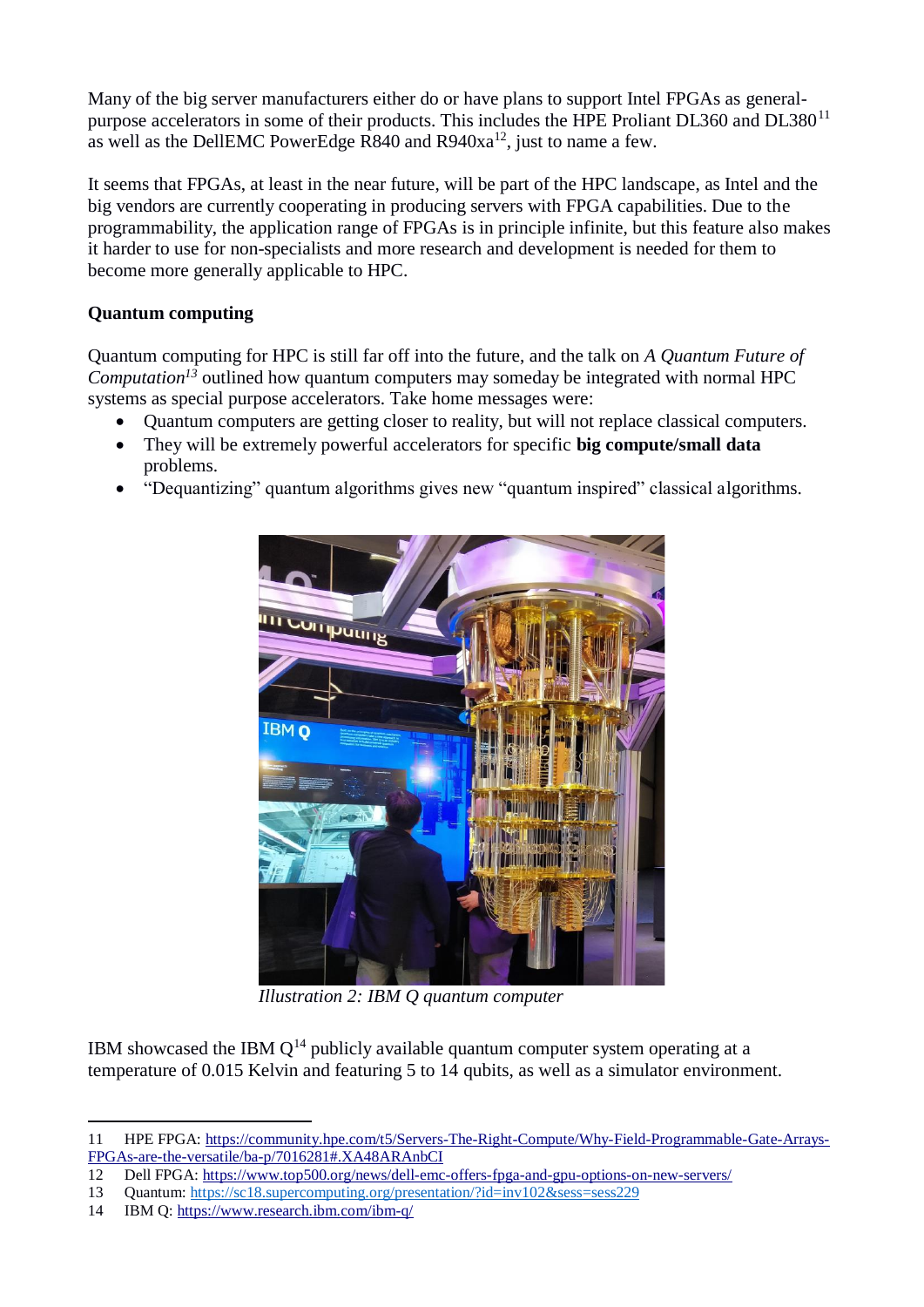Many of the big server manufacturers either do or have plans to support Intel FPGAs as generalpurpose accelerators in some of their products. This includes the HPE Proliant DL360 and DL380<sup>11</sup> as well as the DellEMC PowerEdge R840 and  $R940xa^{12}$ , just to name a few.

It seems that FPGAs, at least in the near future, will be part of the HPC landscape, as Intel and the big vendors are currently cooperating in producing servers with FPGA capabilities. Due to the programmability, the application range of FPGAs is in principle infinite, but this feature also makes it harder to use for non-specialists and more research and development is needed for them to become more generally applicable to HPC.

### **Quantum computing**

Quantum computing for HPC is still far off into the future, and the talk on *A Quantum Future of Computation<sup>13</sup>* outlined how quantum computers may someday be integrated with normal HPC systems as special purpose accelerators. Take home messages were:

- Quantum computers are getting closer to reality, but will not replace classical computers.
- They will be extremely powerful accelerators for specific **big compute/small data** problems.
- "Dequantizing" quantum algorithms gives new "quantum inspired" classical algorithms.



*Illustration 2: IBM Q quantum computer*

IBM showcased the IBM  $Q^{14}$  publicly available quantum computer system operating at a temperature of 0.015 Kelvin and featuring 5 to 14 qubits, as well as a simulator environment.

<sup>&</sup>lt;u>.</u> 11 HPE FPGA: [https://community.hpe.com/t5/Servers-The-Right-Compute/Why-Field-Programmable-Gate-Arrays-](https://community.hpe.com/t5/Servers-The-Right-Compute/Why-Field-Programmable-Gate-Arrays-FPGAs-are-the-versatile/ba-p/7016281#.XA48ARAnbCI)[FPGAs-are-the-versatile/ba-p/7016281#.XA48ARAnbCI](https://community.hpe.com/t5/Servers-The-Right-Compute/Why-Field-Programmable-Gate-Arrays-FPGAs-are-the-versatile/ba-p/7016281#.XA48ARAnbCI)

<sup>12</sup> Dell FPGA:<https://www.top500.org/news/dell-emc-offers-fpga-and-gpu-options-on-new-servers/>

<sup>13</sup> Quantum:<https://sc18.supercomputing.org/presentation/?id=inv102&sess=sess229>

<sup>14</sup> IBM Q:<https://www.research.ibm.com/ibm-q/>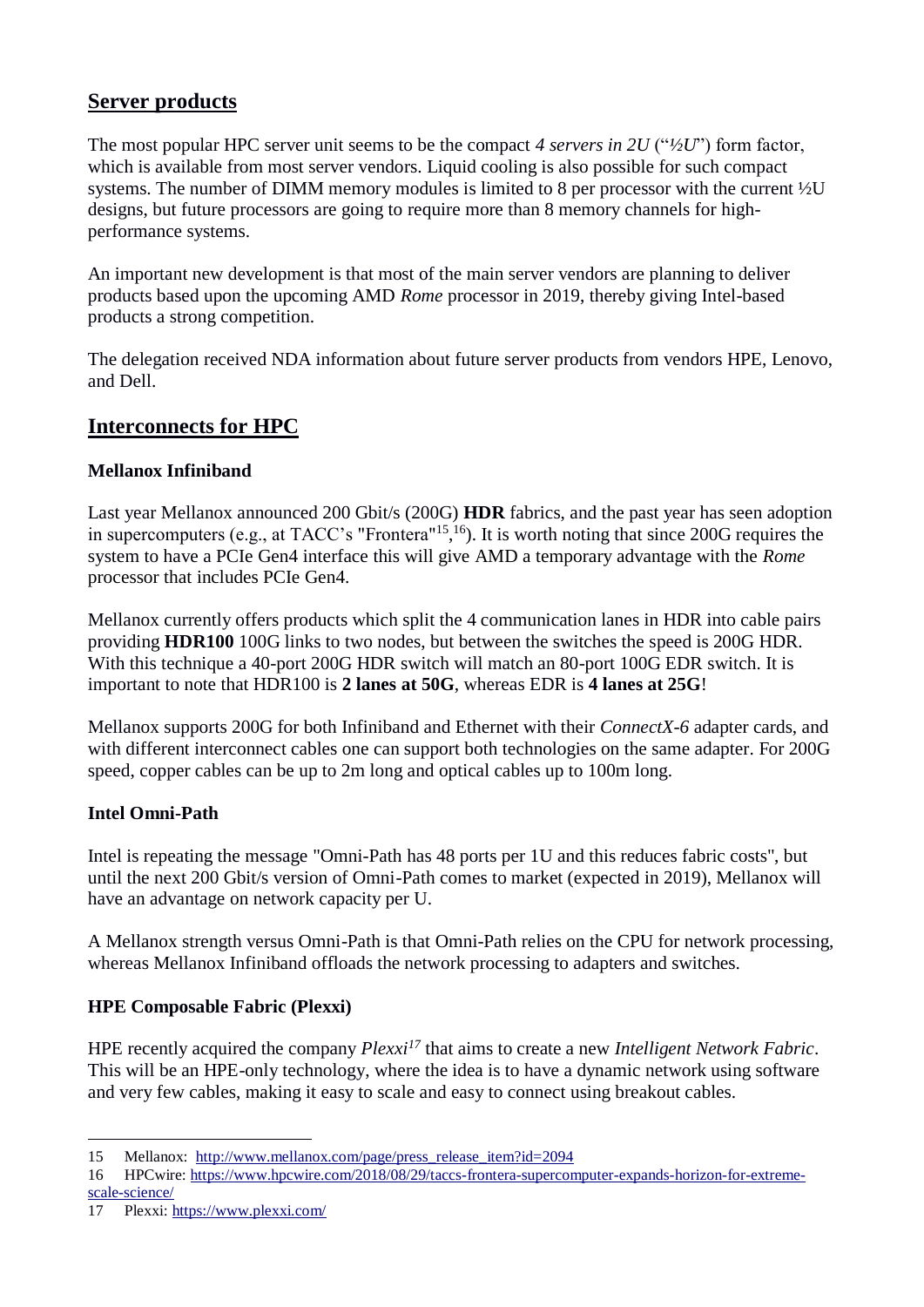# **Server products**

The most popular HPC server unit seems to be the compact *4 servers in 2U* ("*½U*") form factor, which is available from most server vendors. Liquid cooling is also possible for such compact systems. The number of DIMM memory modules is limited to 8 per processor with the current ½U designs, but future processors are going to require more than 8 memory channels for highperformance systems.

An important new development is that most of the main server vendors are planning to deliver products based upon the upcoming AMD *Rome* processor in 2019, thereby giving Intel-based products a strong competition.

The delegation received NDA information about future server products from vendors HPE, Lenovo, and Dell.

# **Interconnects for HPC**

### **Mellanox Infiniband**

Last year Mellanox announced 200 Gbit/s (200G) **HDR** fabrics, and the past year has seen adoption in supercomputers (e.g., at TACC's "Frontera"<sup>15</sup>,<sup>16</sup>). It is worth noting that since 200G requires the system to have a PCIe Gen4 interface this will give AMD a temporary advantage with the *Rome* processor that includes PCIe Gen4.

Mellanox currently offers products which split the 4 communication lanes in HDR into cable pairs providing **HDR100** 100G links to two nodes, but between the switches the speed is 200G HDR. With this technique a 40-port 200G HDR switch will match an 80-port 100G EDR switch. It is important to note that HDR100 is **2 lanes at 50G**, whereas EDR is **4 lanes at 25G**!

Mellanox supports 200G for both Infiniband and Ethernet with their *ConnectX-6* adapter cards, and with different interconnect cables one can support both technologies on the same adapter. For 200G speed, copper cables can be up to 2m long and optical cables up to 100m long.

### **Intel Omni-Path**

Intel is repeating the message "Omni-Path has 48 ports per 1U and this reduces fabric costs", but until the next 200 Gbit/s version of Omni-Path comes to market (expected in 2019), Mellanox will have an advantage on network capacity per U.

A Mellanox strength versus Omni-Path is that Omni-Path relies on the CPU for network processing, whereas Mellanox Infiniband offloads the network processing to adapters and switches.

### **HPE Composable Fabric (Plexxi)**

HPE recently acquired the company *Plexxi<sup>17</sup>* that aims to create a new *Intelligent Network Fabric*. This will be an HPE-only technology, where the idea is to have a dynamic network using software and very few cables, making it easy to scale and easy to connect using breakout cables.

<sup>1</sup> 15 Mellanox: [http://www.mellanox.com/page/press\\_release\\_item?id=2094](http://www.mellanox.com/page/press_release_item?id=2094)

<sup>16</sup> HPCwire: [https://www.hpcwire.com/2018/08/29/taccs-frontera-supercomputer-expands-horizon-for-extreme](https://www.hpcwire.com/2018/08/29/taccs-frontera-supercomputer-expands-horizon-for-extreme-scale-science/)[scale-science/](https://www.hpcwire.com/2018/08/29/taccs-frontera-supercomputer-expands-horizon-for-extreme-scale-science/)

<sup>17</sup> Plexxi:<https://www.plexxi.com/>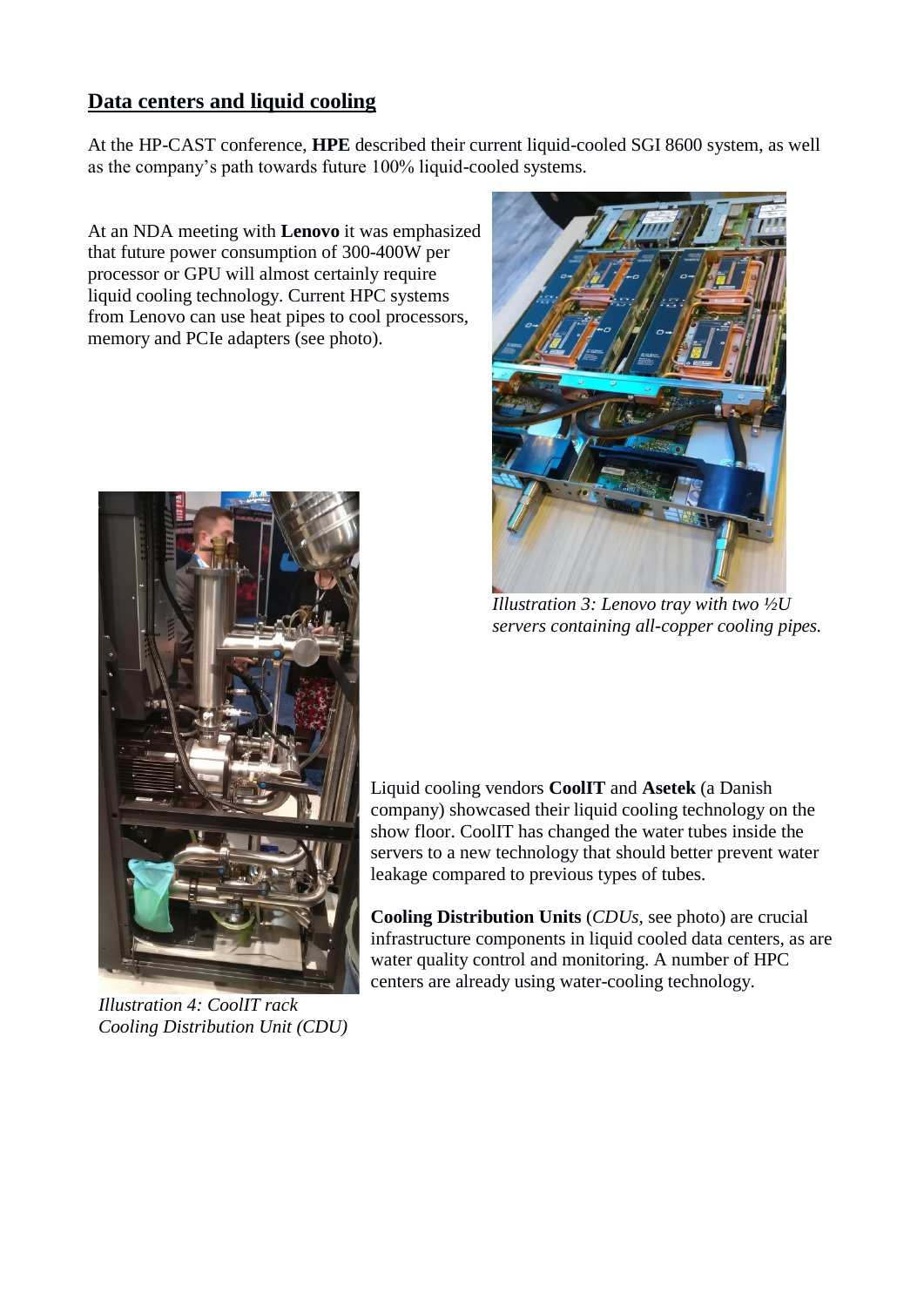# **Data centers and liquid cooling**

At the HP-CAST conference, **HPE** described their current liquid-cooled SGI 8600 system, as well as the company's path towards future 100% liquid-cooled systems.

At an NDA meeting with **Lenovo** it was emphasized that future power consumption of 300-400W per processor or GPU will almost certainly require liquid cooling technology. Current HPC systems from Lenovo can use heat pipes to cool processors, memory and PCIe adapters (see photo).



*Illustration 4: CoolIT rack Cooling Distribution Unit (CDU)*



*Illustration 3: Lenovo tray with two ½U servers containing all-copper cooling pipes.*

Liquid cooling vendors **CoolIT** and **Asetek** (a Danish company) showcased their liquid cooling technology on the show floor. CoolIT has changed the water tubes inside the servers to a new technology that should better prevent water leakage compared to previous types of tubes.

**Cooling Distribution Units** (*CDUs,* see photo) are crucial infrastructure components in liquid cooled data centers, as are water quality control and monitoring. A number of HPC centers are already using water-cooling technology.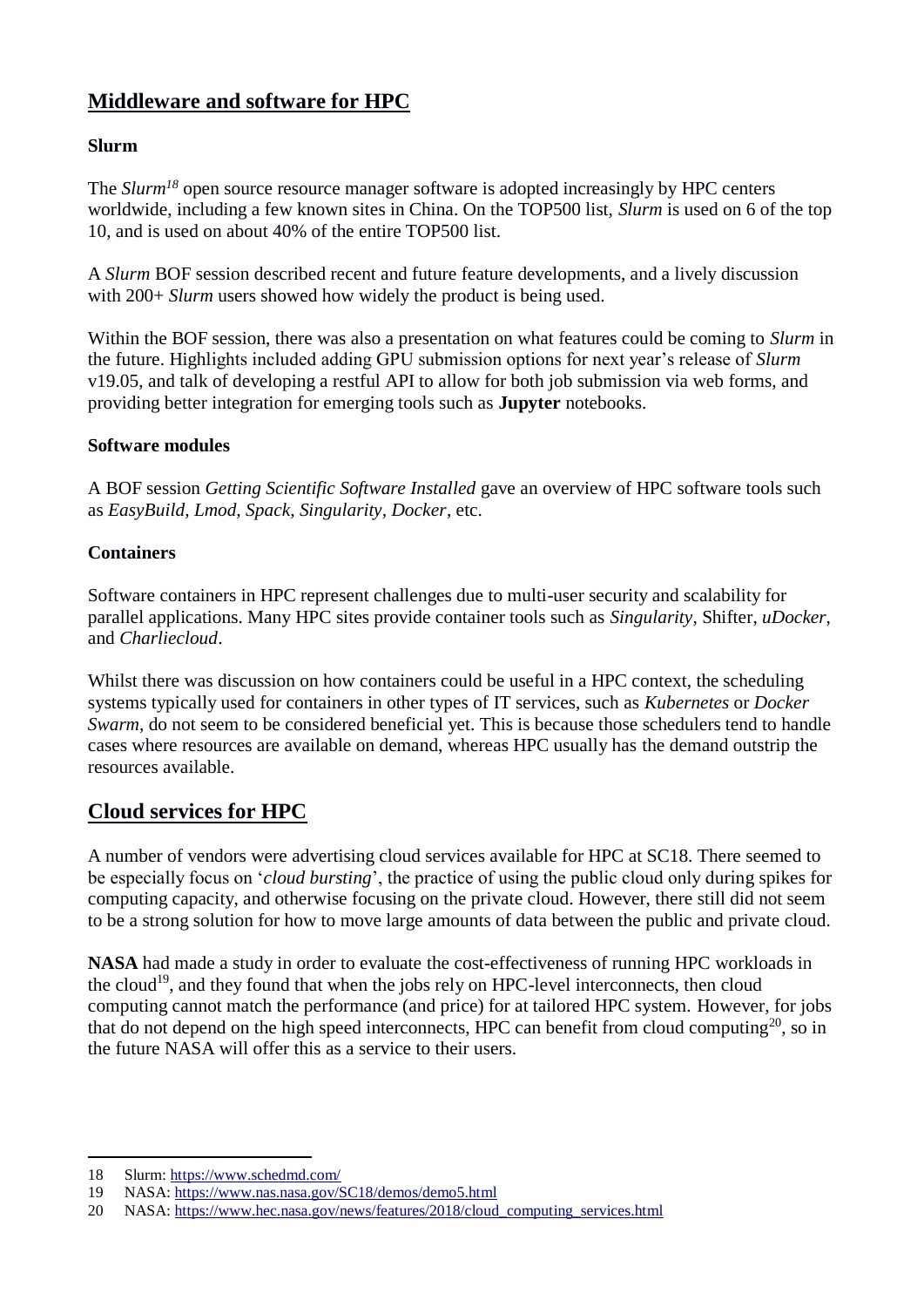# **Middleware and software for HPC**

### **Slurm**

The *Slurm<sup>18</sup>* open source resource manager software is adopted increasingly by HPC centers worldwide, including a few known sites in China. On the TOP500 list, *Slurm* is used on 6 of the top 10, and is used on about 40% of the entire TOP500 list.

A *Slurm* BOF session described recent and future feature developments, and a lively discussion with 200+ *Slurm* users showed how widely the product is being used.

Within the BOF session, there was also a presentation on what features could be coming to *Slurm* in the future. Highlights included adding GPU submission options for next year's release of *Slurm* v19.05, and talk of developing a restful API to allow for both job submission via web forms, and providing better integration for emerging tools such as **Jupyter** notebooks.

#### **Software modules**

A BOF session *Getting Scientific Software Installed* gave an overview of HPC software tools such as *EasyBuild, Lmod, Spack, Singularity, Docker*, etc.

### **Containers**

Software containers in HPC represent challenges due to multi-user security and scalability for parallel applications. Many HPC sites provide container tools such as *Singularity*, Shifter, *uDocker*, and *Charliecloud*.

Whilst there was discussion on how containers could be useful in a HPC context, the scheduling systems typically used for containers in other types of IT services, such as *Kubernetes* or *Docker Swarm*, do not seem to be considered beneficial yet. This is because those schedulers tend to handle cases where resources are available on demand, whereas HPC usually has the demand outstrip the resources available.

# **Cloud services for HPC**

A number of vendors were advertising cloud services available for HPC at SC18. There seemed to be especially focus on '*cloud bursting*', the practice of using the public cloud only during spikes for computing capacity, and otherwise focusing on the private cloud. However, there still did not seem to be a strong solution for how to move large amounts of data between the public and private cloud.

**NASA** had made a study in order to evaluate the cost-effectiveness of running HPC workloads in the cloud<sup>19</sup>, and they found that when the jobs rely on HPC-level interconnects, then cloud computing cannot match the performance (and price) for at tailored HPC system. However, for jobs that do not depend on the high speed interconnects, HPC can benefit from cloud computing<sup>20</sup>, so in the future NASA will offer this as a service to their users.

<sup>1</sup> 18 Slurm:<https://www.schedmd.com/>

<sup>19</sup> NASA:<https://www.nas.nasa.gov/SC18/demos/demo5.html>

<sup>20</sup> NASA: [https://www.hec.nasa.gov/news/features/2018/cloud\\_computing\\_services.html](https://www.hec.nasa.gov/news/features/2018/cloud_computing_services.html)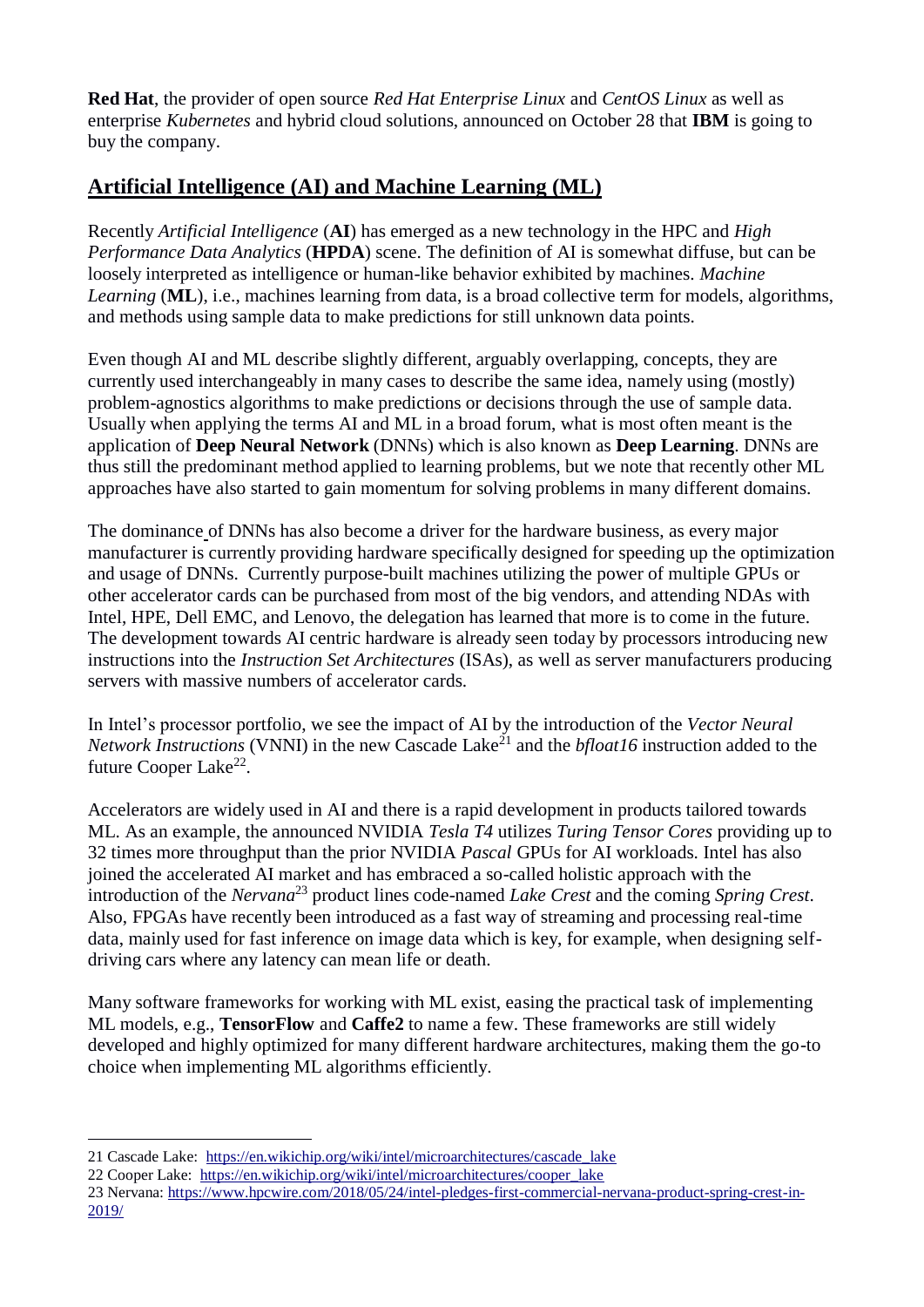**Red Hat**, the provider of open source *Red Hat Enterprise Linux* and *CentOS Linux* as well as enterprise *Kubernetes* and hybrid cloud solutions, announced on October 28 that **IBM** is going to buy the company.

# **Artificial Intelligence (AI) and Machine Learning (ML)**

Recently *Artificial Intelligence* (**AI**) has emerged as a new technology in the HPC and *High Performance Data Analytics* (**HPDA**) scene. The definition of AI is somewhat diffuse, but can be loosely interpreted as intelligence or human-like behavior exhibited by machines. *Machine Learning* (**ML**), i.e., machines learning from data, is a broad collective term for models, algorithms, and methods using sample data to make predictions for still unknown data points.

Even though AI and ML describe slightly different, arguably overlapping, concepts, they are currently used interchangeably in many cases to describe the same idea, namely using (mostly) problem-agnostics algorithms to make predictions or decisions through the use of sample data. Usually when applying the terms AI and ML in a broad forum, what is most often meant is the application of **Deep Neural Network** (DNNs) which is also known as **Deep Learning**. DNNs are thus still the predominant method applied to learning problems, but we note that recently other ML approaches have also started to gain momentum for solving problems in many different domains.

The dominance of DNNs has also become a driver for the hardware business, as every major manufacturer is currently providing hardware specifically designed for speeding up the optimization and usage of DNNs. Currently purpose-built machines utilizing the power of multiple GPUs or other accelerator cards can be purchased from most of the big vendors, and attending NDAs with Intel, HPE, Dell EMC, and Lenovo, the delegation has learned that more is to come in the future. The development towards AI centric hardware is already seen today by processors introducing new instructions into the *Instruction Set Architectures* (ISAs), as well as server manufacturers producing servers with massive numbers of accelerator cards.

In Intel's processor portfolio, we see the impact of AI by the introduction of the *Vector Neural Network Instructions* (VNNI) in the new Cascade Lake<sup> $21$ </sup> and the *bfloat16* instruction added to the future Cooper Lake<sup>22</sup>.

Accelerators are widely used in AI and there is a rapid development in products tailored towards ML. As an example, the announced NVIDIA *Tesla T4* utilizes *Turing Tensor Cores* providing up to 32 times more throughput than the prior NVIDIA *Pascal* GPUs for AI workloads. Intel has also joined the accelerated AI market and has embraced a so-called holistic approach with the introduction of the *Nervana*<sup>23</sup> product lines code-named *Lake Crest* and the coming *Spring Crest*. Also, FPGAs have recently been introduced as a fast way of streaming and processing real-time data, mainly used for fast inference on image data which is key, for example, when designing selfdriving cars where any latency can mean life or death.

Many software frameworks for working with ML exist, easing the practical task of implementing ML models, e.g., **TensorFlow** and **Caffe2** to name a few. These frameworks are still widely developed and highly optimized for many different hardware architectures, making them the go-to choice when implementing ML algorithms efficiently.

1

<sup>21</sup> Cascade Lake: [https://en.wikichip.org/wiki/intel/microarchitectures/cascade\\_lake](https://en.wikichip.org/wiki/intel/microarchitectures/cascade_lake)

<sup>22</sup> Cooper Lake: [https://en.wikichip.org/wiki/intel/microarchitectures/cooper\\_lake](https://en.wikichip.org/wiki/intel/microarchitectures/cooper_lake)

<sup>23</sup> Nervana: [https://www.hpcwire.com/2018/05/24/intel-pledges-first-commercial-nervana-product-spring-crest-in-](https://www.hpcwire.com/2018/05/24/intel-pledges-first-commercial-nervana-product-spring-crest-in-2019/)[2019/](https://www.hpcwire.com/2018/05/24/intel-pledges-first-commercial-nervana-product-spring-crest-in-2019/)